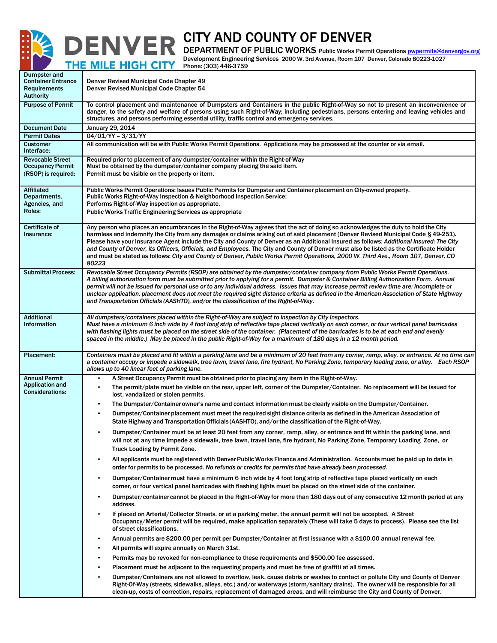

## CITY AND COUNTY OF DENVER

DEPARTMENT OF PUBLIC WORKS Public Works Permit Operations [pwpermits@denvergov.org](mailto:pwpermits@denvergov.org) Development Engineering Services 2000 W. 3rd Avenue, Room 107 Denver, Colorado 80223-1027 THE MILE HIGH CITY Phone: (303) 446-3759

| Dumpster and<br><b>Container Entrance</b><br><b>Requirements</b><br><b>Authority</b> | Denver Revised Municipal Code Chapter 49<br>Denver Revised Municipal Code Chapter 54                                                                                                                                                                                                                                                                                                                                                                                                                                                                                                                                                                                                                           |  |  |  |  |  |  |  |
|--------------------------------------------------------------------------------------|----------------------------------------------------------------------------------------------------------------------------------------------------------------------------------------------------------------------------------------------------------------------------------------------------------------------------------------------------------------------------------------------------------------------------------------------------------------------------------------------------------------------------------------------------------------------------------------------------------------------------------------------------------------------------------------------------------------|--|--|--|--|--|--|--|
| <b>Purpose of Permit</b>                                                             | To control placement and maintenance of Dumpsters and Containers in the public Right-of-Way so not to present an inconvenience or<br>danger, to the safety and welfare of persons using such Right-of-Way; including pedestrians, persons entering and leaving vehicles and<br>structures, and persons performing essential utility, traffic control and emergency services.                                                                                                                                                                                                                                                                                                                                   |  |  |  |  |  |  |  |
| <b>Document Date</b>                                                                 | January 29, 2014                                                                                                                                                                                                                                                                                                                                                                                                                                                                                                                                                                                                                                                                                               |  |  |  |  |  |  |  |
| <b>Permit Dates</b>                                                                  | 04/01/YY - 3/31/YY<br>All communication will be with Public Works Permit Operations. Applications may be processed at the counter or via email.                                                                                                                                                                                                                                                                                                                                                                                                                                                                                                                                                                |  |  |  |  |  |  |  |
| <b>Customer</b><br>Interface:                                                        |                                                                                                                                                                                                                                                                                                                                                                                                                                                                                                                                                                                                                                                                                                                |  |  |  |  |  |  |  |
| <b>Revocable Street</b><br><b>Occupancy Permit</b><br>(RSOP) is required:            | Required prior to placement of any dumpster/container within the Right-of-Way<br>Must be obtained by the dumpster/container company placing the said item.<br>Permit must be visible on the property or item.                                                                                                                                                                                                                                                                                                                                                                                                                                                                                                  |  |  |  |  |  |  |  |
| <b>Affiliated</b><br>Departments,<br>Agencies, and<br>Roles:                         | Public Works Permit Operations: Issues Public Permits for Dumpster and Container placement on City-owned property.<br>Public Works Right-of-Way Inspection & Neighborhood Inspection Service:<br>Performs Right-of-Way inspection as appropriate.<br><b>Public Works Traffic Engineering Services as appropriate</b>                                                                                                                                                                                                                                                                                                                                                                                           |  |  |  |  |  |  |  |
| Certificate of<br>Insurance:                                                         | Any person who places an encumbrances in the Right-of-Way agrees that the act of doing so acknowledges the duty to hold the City<br>harmless and indemnify the City from any damages or claims arising out of said placement (Denver Revised Municipal Code § 49-251).<br>Please have your Insurance Agent include the City and County of Denver as an Additional Insured as follows: Additional Insured: The City<br>and County of Denver, its Officers, Officials, and Employees. The City and County of Denver must also be listed as the Certificate Holder<br>and must be stated as follows: City and County of Denver, Public Works Permit Operations, 2000 W. Third Ave., Room 107, Denver, CO<br>80223 |  |  |  |  |  |  |  |
| <b>Submittal Process:</b>                                                            | Revocable Street Occupancy Permits (RSOP) are obtained by the dumpster/container company from Public Works Permit Operations.<br>A billing authorization form must be submitted prior to applying for a permit. Dumpster & Container Billing Authorization Form. Annual<br>permit will not be issued for personal use or to any individual address. Issues that may increase permit review time are: incomplete or<br>unclear application, placement does not meet the required sight distance criteria as defined in the American Association of State Highway<br>and Transportation Officials (AASHTO), and/or the classification of the Right-of-Way.                                                       |  |  |  |  |  |  |  |
| <b>Additional</b><br>Information                                                     | All dumpsters/containers placed within the Right-of-Way are subject to inspection by City Inspectors.<br>Must have a minimum 6 inch wide by 4 foot long strip of reflective tape placed vertically on each corner, or four vertical panel barricades<br>with flashing lights must be placed on the street side of the container. (Placement of the barricades is to be at each end and evenly<br>spaced in the middle.) May be placed in the public Right-of-Way for a maximum of 180 days in a 12 month period.                                                                                                                                                                                               |  |  |  |  |  |  |  |
| Placement:                                                                           | Containers must be placed and fit within a parking lane and be a minimum of 20 feet from any corner, ramp, alley, or entrance. At no time can<br>a container occupy or impede a sidewalk, tree lawn, travel lane, fire hydrant, No Parking Zone, temporary loading zone, or alley. Each RSOP<br>allows up to 40 linear feet of parking lane.                                                                                                                                                                                                                                                                                                                                                                   |  |  |  |  |  |  |  |
| <b>Annual Permit</b>                                                                 | A Street Occupancy Permit must be obtained prior to placing any item in the Right-of-Way.                                                                                                                                                                                                                                                                                                                                                                                                                                                                                                                                                                                                                      |  |  |  |  |  |  |  |
| <b>Application and</b><br><b>Considerations:</b>                                     | The permit/plate must be visible on the rear, upper left, corner of the Dumpster/Container. No replacement will be issued for<br>$\bullet$<br>lost, vandalized or stolen permits.                                                                                                                                                                                                                                                                                                                                                                                                                                                                                                                              |  |  |  |  |  |  |  |
|                                                                                      | The Dumpster/Container owner's name and contact information must be clearly visible on the Dumpster/Container.<br>$\bullet$                                                                                                                                                                                                                                                                                                                                                                                                                                                                                                                                                                                    |  |  |  |  |  |  |  |
|                                                                                      | Dumpster/Container placement must meet the required sight distance criteria as defined in the American Association of<br>$\bullet$<br>State Highway and Transportation Officials (AASHTO), and/or the classification of the Right-of-Way.                                                                                                                                                                                                                                                                                                                                                                                                                                                                      |  |  |  |  |  |  |  |
|                                                                                      | Dumpster/Container must be at least 20 feet from any corner, ramp, alley, or entrance and fit within the parking lane, and<br>will not at any time impede a sidewalk, tree lawn, travel lane, fire hydrant, No Parking Zone, Temporary Loading Zone, or<br>Truck Loading by Permit Zone.                                                                                                                                                                                                                                                                                                                                                                                                                       |  |  |  |  |  |  |  |
|                                                                                      | All applicants must be registered with Denver Public Works Finance and Administration. Accounts must be paid up to date in<br>$\bullet$<br>order for permits to be processed. No refunds or credits for permits that have already been processed.                                                                                                                                                                                                                                                                                                                                                                                                                                                              |  |  |  |  |  |  |  |
|                                                                                      | Dumpster/Container must have a minimum 6 inch wide by 4 foot long strip of reflective tape placed vertically on each<br>$\bullet$<br>corner, or four vertical panel barricades with flashing lights must be placed on the street side of the container.                                                                                                                                                                                                                                                                                                                                                                                                                                                        |  |  |  |  |  |  |  |
|                                                                                      | Dumpster/container cannot be placed in the Right-of-Way for more than 180 days out of any consecutive 12 month period at any<br>address.                                                                                                                                                                                                                                                                                                                                                                                                                                                                                                                                                                       |  |  |  |  |  |  |  |
|                                                                                      | If placed on Arterial/Collector Streets, or at a parking meter, the annual permit will not be accepted. A Street<br>Occupancy/Meter permit will be required, make application separately (These will take 5 days to process). Please see the list<br>of street classifications.                                                                                                                                                                                                                                                                                                                                                                                                                                |  |  |  |  |  |  |  |
|                                                                                      | Annual permits are \$200.00 per permit per Dumpster/Container at first issuance with a \$100.00 annual renewal fee.<br>٠                                                                                                                                                                                                                                                                                                                                                                                                                                                                                                                                                                                       |  |  |  |  |  |  |  |
|                                                                                      | All permits will expire annually on March 31st.                                                                                                                                                                                                                                                                                                                                                                                                                                                                                                                                                                                                                                                                |  |  |  |  |  |  |  |
|                                                                                      | Permits may be revoked for non-compliance to these requirements and \$500.00 fee assessed.<br>$\bullet$                                                                                                                                                                                                                                                                                                                                                                                                                                                                                                                                                                                                        |  |  |  |  |  |  |  |
|                                                                                      | Placement must be adjacent to the requesting property and must be free of graffiti at all times.<br>٠                                                                                                                                                                                                                                                                                                                                                                                                                                                                                                                                                                                                          |  |  |  |  |  |  |  |
|                                                                                      | Dumpster/Containers are not allowed to overflow, leak, cause debris or wastes to contact or pollute City and County of Denver<br>$\bullet$<br>Right-Of-Way (streets, sidewalks, alleys, etc.) and/or waterways (storm/sanitary drains). The owner will be responsible for all<br>clean-up, costs of correction, repairs, replacement of damaged areas, and will reimburse the City and County of Denver.                                                                                                                                                                                                                                                                                                       |  |  |  |  |  |  |  |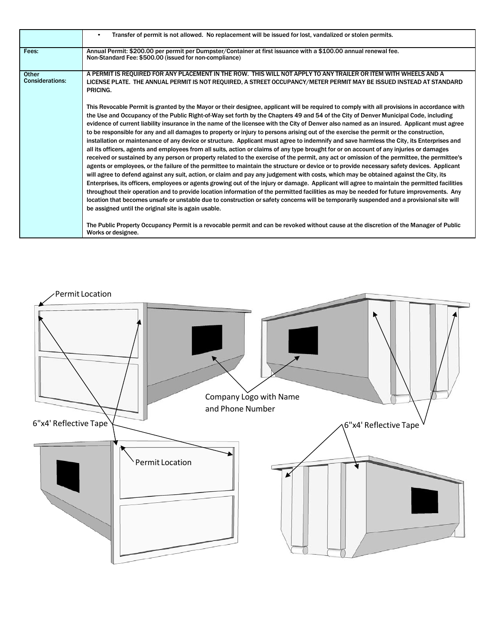|                                 | Transfer of permit is not allowed. No replacement will be issued for lost, vandalized or stolen permits.<br>$\bullet$                                                                                                                                                                                                                                                                                                                                                                                                                                                                                                                                                                                                                                                                                                                                                                                                                                                                                                                                                                                                                                                                                                                                                                                                                                                                                                                                                                                                                                                                                                                                                                                                                                                                                                                                                                                                                                    |
|---------------------------------|----------------------------------------------------------------------------------------------------------------------------------------------------------------------------------------------------------------------------------------------------------------------------------------------------------------------------------------------------------------------------------------------------------------------------------------------------------------------------------------------------------------------------------------------------------------------------------------------------------------------------------------------------------------------------------------------------------------------------------------------------------------------------------------------------------------------------------------------------------------------------------------------------------------------------------------------------------------------------------------------------------------------------------------------------------------------------------------------------------------------------------------------------------------------------------------------------------------------------------------------------------------------------------------------------------------------------------------------------------------------------------------------------------------------------------------------------------------------------------------------------------------------------------------------------------------------------------------------------------------------------------------------------------------------------------------------------------------------------------------------------------------------------------------------------------------------------------------------------------------------------------------------------------------------------------------------------------|
| Fees:                           | Annual Permit: \$200.00 per permit per Dumpster/Container at first issuance with a \$100.00 annual renewal fee.<br>Non-Standard Fee: \$500.00 (issued for non-compliance)                                                                                                                                                                                                                                                                                                                                                                                                                                                                                                                                                                                                                                                                                                                                                                                                                                                                                                                                                                                                                                                                                                                                                                                                                                                                                                                                                                                                                                                                                                                                                                                                                                                                                                                                                                                |
| Other<br><b>Considerations:</b> | A PERMIT IS REQUIRED FOR ANY PLACEMENT IN THE ROW. THIS WILL NOT APPLY TO ANY TRAILER OR ITEM WITH WHEELS AND A<br>LICENSE PLATE. THE ANNUAL PERMIT IS NOT REQUIRED, A STREET OCCUPANCY/METER PERMIT MAY BE ISSUED INSTEAD AT STANDARD<br>PRICING.                                                                                                                                                                                                                                                                                                                                                                                                                                                                                                                                                                                                                                                                                                                                                                                                                                                                                                                                                                                                                                                                                                                                                                                                                                                                                                                                                                                                                                                                                                                                                                                                                                                                                                       |
|                                 | This Revocable Permit is granted by the Mayor or their designee, applicant will be required to comply with all provisions in accordance with<br>the Use and Occupancy of the Public Right-of-Way set forth by the Chapters 49 and 54 of the City of Denver Municipal Code, including<br>evidence of current liability insurance in the name of the licensee with the City of Denver also named as an insured. Applicant must agree<br>to be responsible for any and all damages to property or injury to persons arising out of the exercise the permit or the construction,<br>installation or maintenance of any device or structure. Applicant must agree to indemnify and save harmless the City, its Enterprises and<br>all its officers, agents and employees from all suits, action or claims of any type brought for or on account of any injuries or damages<br>received or sustained by any person or property related to the exercise of the permit, any act or omission of the permittee, the permittee's<br>agents or employees, or the failure of the permittee to maintain the structure or device or to provide necessary safety devices. Applicant<br>will agree to defend against any suit, action, or claim and pay any judgement with costs, which may be obtained against the City, its<br>Enterprises, its officers, employees or agents growing out of the injury or damage. Applicant will agree to maintain the permitted facilities<br>throughout their operation and to provide location information of the permitted facilities as may be needed for future improvements. Any<br>location that becomes unsafe or unstable due to construction or safety concerns will be temporarily suspended and a provisional site will<br>be assigned until the original site is again usable.<br>The Public Property Occupancy Permit is a revocable permit and can be revoked without cause at the discretion of the Manager of Public |
|                                 | Works or designee.                                                                                                                                                                                                                                                                                                                                                                                                                                                                                                                                                                                                                                                                                                                                                                                                                                                                                                                                                                                                                                                                                                                                                                                                                                                                                                                                                                                                                                                                                                                                                                                                                                                                                                                                                                                                                                                                                                                                       |